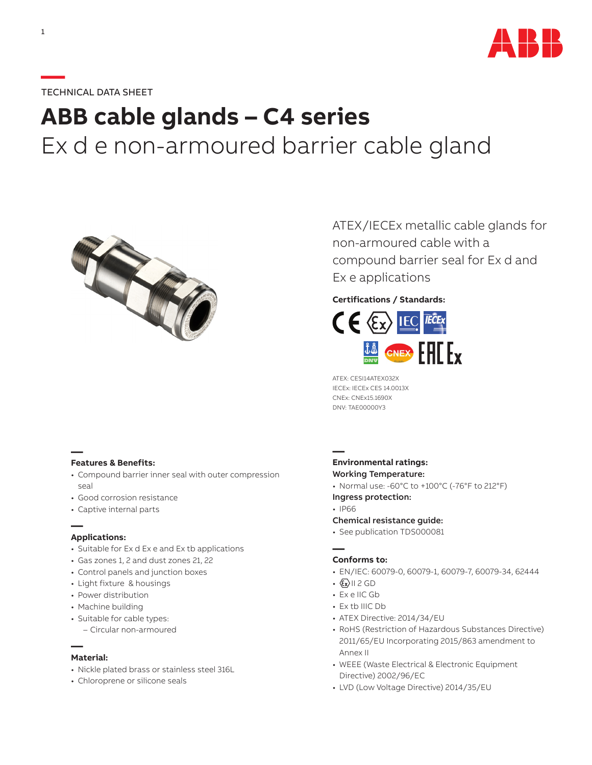

## **—**TECHNICAL DATA SHEET

# **ABB cable glands – C4 series** Ex d e non-armoured barrier cable gland



**— Features & Benefits:**

- Compound barrier inner seal with outer compression seal
- Good corrosion resistance
- Captive internal parts

#### **— Applications:**

- Suitable for Ex d Ex e and Ex tb applications
- Gas zones 1, 2 and dust zones 21, 22
- Control panels and junction boxes
- Light fixture & housings
- Power distribution
- Machine building
- Suitable for cable types:
- Circular non-armoured

#### **— Material:**

- Nickle plated brass or stainless steel 316L
- Chloroprene or silicone seals

ATEX/IECEx metallic cable glands for non-armoured cable with a compound barrier seal for Ex d and Ex e applications

## **Certifications / Standards:**



ATEX: CESI14ATEX032X IECEx: IECEx CES 14.0013X CNEx: CNEx15.1690X DNV: TAE00000Y3

## **— Environmental ratings:** Working Temperature:

- 
- Normal use: -60°C to +100°C (-76°F to 212°F)
- Ingress protection:
- IP66
- Chemical resistance guide:
- See publication TDS000081

## **— Conforms to:**

- EN/IEC: 60079-0, 60079-1, 60079-7, 60079-34, 62444
- $\cdot$   $\langle x \rangle$  | | 2 GD
- Ex e IIC Gb
- Ex tb IIIC Db
- ATEX Directive: 2014/34/EU
- RoHS (Restriction of Hazardous Substances Directive) 2011/65/EU Incorporating 2015/863 amendment to Annex II
- WEEE (Waste Electrical & Electronic Equipment Directive) 2002/96/EC
- LVD (Low Voltage Directive) 2014/35/EU